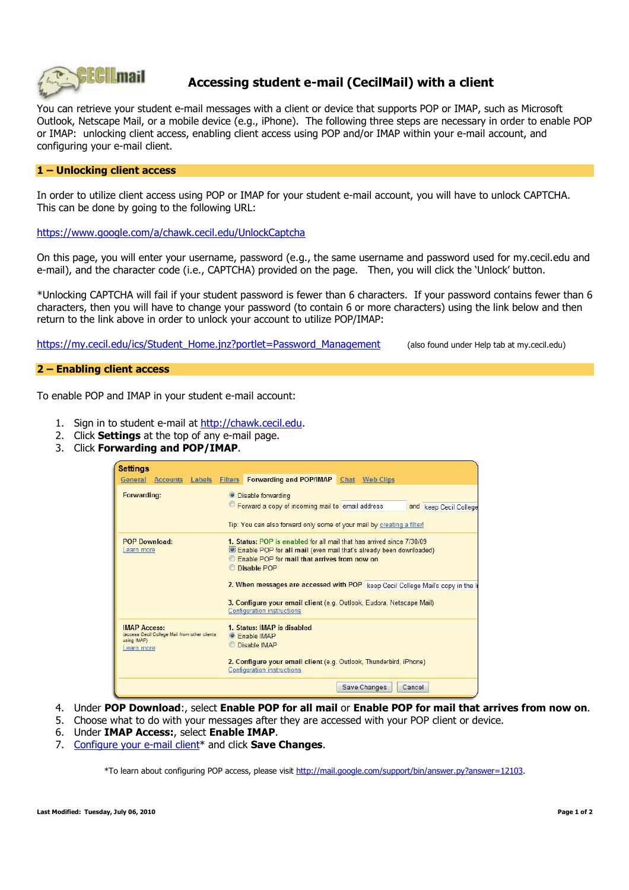

# **Accessing student e-mail (CecilMail) with a client**

You can retrieve your student e-mail messages with a client or device that supports POP or IMAP, such as Microsoft Outlook, Netscape Mail, or a mobile device (e.g., iPhone). The following three steps are necessary in order to enable POP or IMAP: unlocking client access, enabling client access using POP and/or IMAP within your e-mail account, and configuring your e-mail client.

### **1 – Unlocking client access**

In order to utilize client access using POP or IMAP for your student e-mail account, you will have to unlock CAPTCHA. This can be done by going to the following URL:

https://www.google.com/a/chawk.cecil.edu/UnlockCaptcha

On this page, you will enter your username, password (e.g., the same username and password used for my.cecil.edu and e-mail), and the character code (i.e., CAPTCHA) provided on the page. Then, you will click the 'Unlock' button.

\*Unlocking CAPTCHA will fail if your student password is fewer than 6 characters. If your password contains fewer than 6 characters, then you will have to change your password (to contain 6 or more characters) using the link below and then return to the link above in order to unlock your account to utilize POP/IMAP:

https://my.cecil.edu/ics/Student\_Home.jnz?portlet=Password\_Management (also found under Help tab at my.cecil.edu)

#### **2 – Enabling client access**

To enable POP and IMAP in your student e-mail account:

- 1. Sign in to student e-mail at http://chawk.cecil.edu.
- 2. Click **Settings** at the top of any e-mail page.
- 3. Click **Forwarding and POP/IMAP**.

| <b>Settings</b>                                                                                    |                                                                                                                                                                                                                                                                                                                                                                                                                         |  |
|----------------------------------------------------------------------------------------------------|-------------------------------------------------------------------------------------------------------------------------------------------------------------------------------------------------------------------------------------------------------------------------------------------------------------------------------------------------------------------------------------------------------------------------|--|
| <b>Accounts</b> Labels<br>General                                                                  | Forwarding and POP/IMAP Chat Web Clips<br><b>Filters</b>                                                                                                                                                                                                                                                                                                                                                                |  |
| Forwarding:                                                                                        | <b>O</b> Disable forwarding<br><sup>to</sup> Forward a copy of incoming mail to email address<br>and keep Cecil College<br>Tip: You can also forward only some of your mail by creating a filter!                                                                                                                                                                                                                       |  |
| <b>POP Download:</b><br>Learn more                                                                 | 1. Status: POP is enabled for all mail that has arrived since 7/30/09<br><b>Enable POP for all mail (even mail that's already been downloaded)</b><br>Enable POP for mail that arrives from now on<br><b>Disable POP</b><br>2. When messages are accessed with POP keep Cecil College Mail's copy in the I<br>3. Configure your email client (e.g. Outlook, Eudora, Netscape Mail)<br><b>Configuration instructions</b> |  |
| <b>IMAP Access:</b><br>(access Cecil College Mail from other clients)<br>using IMAP)<br>Learn more | 1. Status: IMAP is disabled<br><b>•</b> Enable IMAP<br>Disable IMAP<br>2. Configure your email client (e.g. Outlook, Thunderbird, iPhone)<br><b>Configuration instructions</b>                                                                                                                                                                                                                                          |  |
|                                                                                                    | Cancel<br>Save Changes                                                                                                                                                                                                                                                                                                                                                                                                  |  |

- 4. Under **POP Download**:, select **Enable POP for all mail** or **Enable POP for mail that arrives from now on**.
- 5. Choose what to do with your messages after they are accessed with your POP client or device.
- 6. Under **IMAP Access:**, select **Enable IMAP**.
- 7. Configure your e-mail client\* and click **Save Changes**.

\*To learn about configuring POP access, please visit http://mail.google.com/support/bin/answer.py?answer=12103.